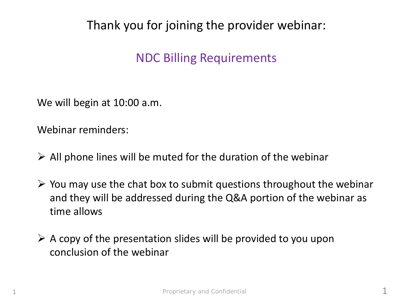#### Thank you for joining the provider webinar:

#### NDC Billing Requirements

We will begin at 10:00 a.m.

Webinar reminders:

- $\triangleright$  All phone lines will be muted for the duration of the webinar
- $\triangleright$  You may use the chat box to submit questions throughout the webinar and they will be addressed during the Q&A portion of the webinar as time allows
- $\triangleright$  A copy of the presentation slides will be provided to you upon conclusion of the webinar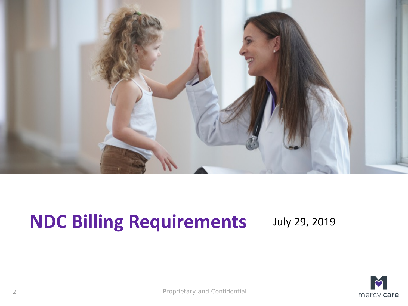

# **NDC Billing Requirements** July 29, 2019

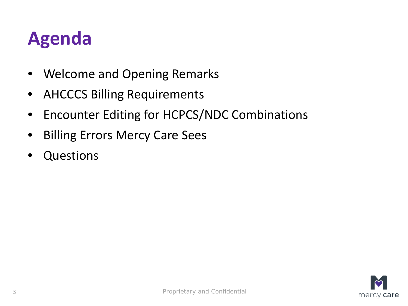### **Agenda**

- Welcome and Opening Remarks
- AHCCCS Billing Requirements
- Encounter Editing for HCPCS/NDC Combinations
- Billing Errors Mercy Care Sees
- **Questions**

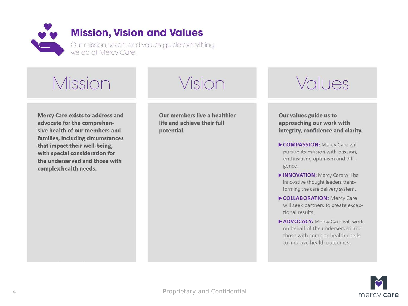

#### Mission

#### Mercy Care exists to address and advocate for the comprehensive health of our members and families, including circumstances that impact their well-being, with special consideration for the underserved and those with complex health needs.

Our members live a healthier life and achieve their full potential.

Vision

#### Values

Our values guide us to approaching our work with integrity, confidence and clarity.

- COMPASSION: Mercy Care will pursue its mission with passion, enthusiasm, optimism and diligence.
- INNOVATION: Mercy Care will be innovative thought leaders transforming the care delivery system.
- COLLABORATION: Mercy Care will seek partners to create exceptional results.
- ADVOCACY: Mercy Care will work on behalf of the underserved and those with complex health needs to improve health outcomes.

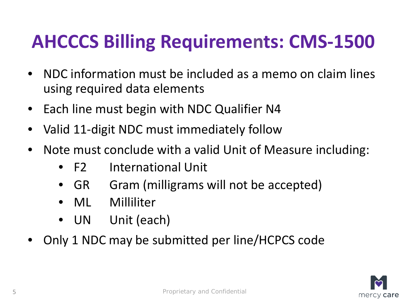# **AHCCCS Billing Requirements: CMS-1500**

- NDC information must be included as a memo on claim lines using required data elements
- Each line must begin with NDC Qualifier N4
- Valid 11-digit NDC must immediately follow
- Note must conclude with a valid Unit of Measure including:
	- F2 International Unit
	- GR Gram (milligrams will not be accepted)
	- ML Milliliter
	- UN Unit (each)
- Only 1 NDC may be submitted per line/HCPCS code

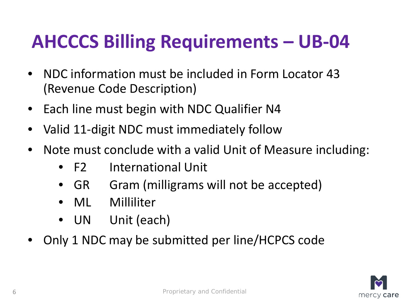# **AHCCCS Billing Requirements – UB-04**

- NDC information must be included in Form Locator 43 (Revenue Code Description)
- Each line must begin with NDC Qualifier N4
- Valid 11-digit NDC must immediately follow
- Note must conclude with a valid Unit of Measure including:
	- F2 International Unit
	- GR Gram (milligrams will not be accepted)
	- ML Milliliter
	- UN Unit (each)
- Only 1 NDC may be submitted per line/HCPCS code

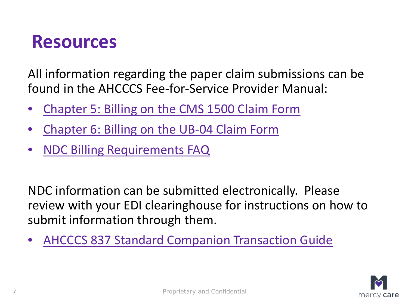#### **Resources**

All information regarding the paper claim submissions can be found in the AHCCCS Fee-for-Service Provider Manual:

- [Chapter 5: Billing on the CMS 1500 Claim Form](https://azahcccs.gov/PlansProviders/Downloads/FFSProviderManual/FFS_Chap05.pdf)
- [Chapter 6: Billing on the UB-04 Claim Form](https://azahcccs.gov/PlansProviders/Downloads/FFSProviderManual/FFS_Chap06.pdf)
- [NDC Billing Requirements FAQ](https://www.azahcccs.gov/PlansProviders/Downloads/PharmacyUpdates/NDCBillingRequirementsFAQs_Additional.pdf)

NDC information can be submitted electronically. Please review with your EDI clearinghouse for instructions on how to submit information through them.

• [AHCCCS 837 Standard Companion Transaction Guide](https://www.azahcccs.gov/Resources/Downloads/EDIchanges/EDIchangesAZ837ENCCG.pdf)

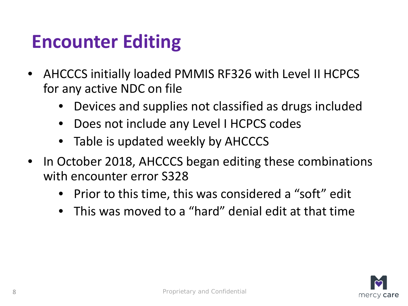#### **Encounter Editing**

- AHCCCS initially loaded PMMIS RF326 with Level II HCPCS for any active NDC on file
	- Devices and supplies not classified as drugs included
	- Does not include any Level I HCPCS codes
	- Table is updated weekly by AHCCCS
- In October 2018, AHCCCS began editing these combinations with encounter error S328
	- Prior to this time, this was considered a "soft" edit
	- This was moved to a "hard" denial edit at that time

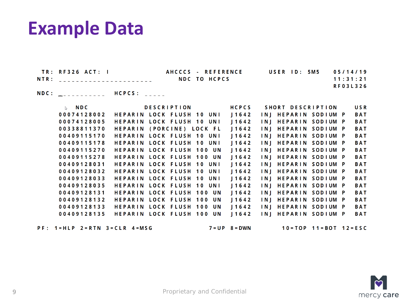#### **Example Data**

| TR: RF326 ACT: I              |                               | AHCCCS - REFERENCE | USER ID: 5M5 05/14/19 |
|-------------------------------|-------------------------------|--------------------|-----------------------|
| NTR: ________________________ |                               | NDC TO HCPCS       | 11:31:21              |
|                               |                               |                    | <b>RF03L326</b>       |
|                               | NDC: ___________ HCPCS: _____ |                    |                       |

| $\mathbb{D}$ NDC | <b>DESCRIPTION</b>               | <b>HCPCS</b> | SHORT DESCRIPTION    |  | <b>USR</b> |
|------------------|----------------------------------|--------------|----------------------|--|------------|
| 00074128002      | <b>HEPARIN LOCK FLUSH 10 UNI</b> | 11642        | INJ HEPARIN SODIUM P |  | <b>BAT</b> |
| 00074128005      | HEPARIN LOCK FLUSH 10 UNI        | 11642        | INJ HEPARIN SODIUM P |  | <b>BAT</b> |
| 00338811370      | HEPARIN (PORCINE) LOCK FL        | 11642        | INJ HEPARIN SODIUM P |  | <b>BAT</b> |
| 00409115170      | <b>HEPARIN LOCK FLUSH 10 UNI</b> | 11642        | INI HEPARIN SODIUM P |  | <b>BAT</b> |
| 00409115178      | <b>HEPARIN LOCK FLUSH 10 UNI</b> | 11642        | INJ HEPARIN SODIUM P |  | <b>BAT</b> |
| 00409115270      | <b>HEPARIN LOCK FLUSH 100 UN</b> | 11642        | INJ HEPARIN SODIUM P |  | <b>BAT</b> |
| 00409115278      | <b>HEPARIN LOCK FLUSH 100 UN</b> | 11642        | INJ HEPARIN SODIUM P |  | <b>BAT</b> |
| 00409128031      | <b>HEPARIN LOCK FLUSH 10 UNI</b> | 11642        | INJ HEPARIN SODIUM P |  | <b>BAT</b> |
| 00409128032      | HEPARIN LOCK FLUSH 10 UNI        | 11642        | INJ HEPARIN SODIUM P |  | <b>BAT</b> |
| 00409128033      | <b>HEPARIN LOCK FLUSH 10 UNI</b> | 11642        | INJ HEPARIN SODIUM P |  | <b>BAT</b> |
| 00409128035      | HEPARIN LOCK FLUSH 10 UNI        | 11642        | INJ HEPARIN SODIUM P |  | <b>BAT</b> |
| 00409128131      | <b>HEPARIN LOCK FLUSH 100 UN</b> | 11642        | INI HEPARIN SODIUM P |  | <b>BAT</b> |
| 00409128132      | HEPARIN LOCK FLUSH 100 UN        | 11642        | INJ HEPARIN SODIUM P |  | <b>BAT</b> |
| 00409128133      | HEPARIN LOCK FLUSH 100 UN        | 11642        | INJ HEPARIN SODIUM P |  | <b>BAT</b> |
| 00409128135      | HEPARIN LOCK FLUSH 100 UN        | 11642        | INJ HEPARIN SODIUM P |  | <b>BAT</b> |
|                  |                                  |              |                      |  |            |

 $PF: 1 = HLP$  2 = RTN 3 = CLR 4 = MSG

 $7 = UP$   $8 = DWN$ 

 $10 = TOP$  11=BOT 12=ESC

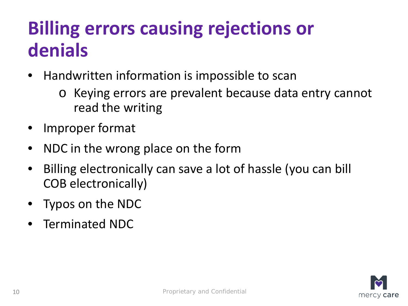### **Billing errors causing rejections or denials**

- Handwritten information is impossible to scan
	- o Keying errors are prevalent because data entry cannot read the writing
- Improper format
- NDC in the wrong place on the form
- Billing electronically can save a lot of hassle (you can bill COB electronically)
- Typos on the NDC
- Terminated NDC

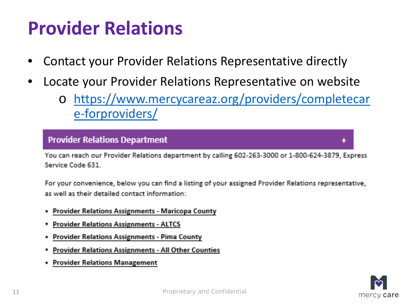#### **Provider Relations**

- Contact your Provider Relations Representative directly
- Locate your Provider Relations Representative on website
	- o [https://www.mercycareaz.org/providers/completecar](https://www.mercycareaz.org/providers/completecare-forproviders/) e-forproviders/

#### **Provider Relations Department**

You can reach our Provider Relations department by calling 602-263-3000 or 1-800-624-3879, Express Service Code 631

For your convenience, below you can find a listing of your assigned Provider Relations representative, as well as their detailed contact information:

- **Provider Relations Assignments Maricopa County**
- **Provider Relations Assignments ALTCS**
- **Provider Relations Assignments Pima County**
- **Provider Relations Assignments All Other Counties**
- **Provider Relations Management**

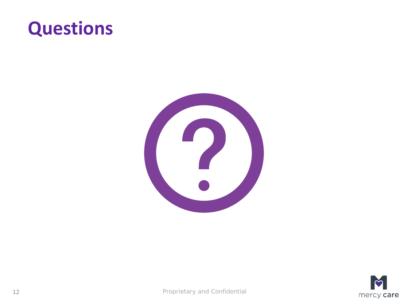#### **Questions**